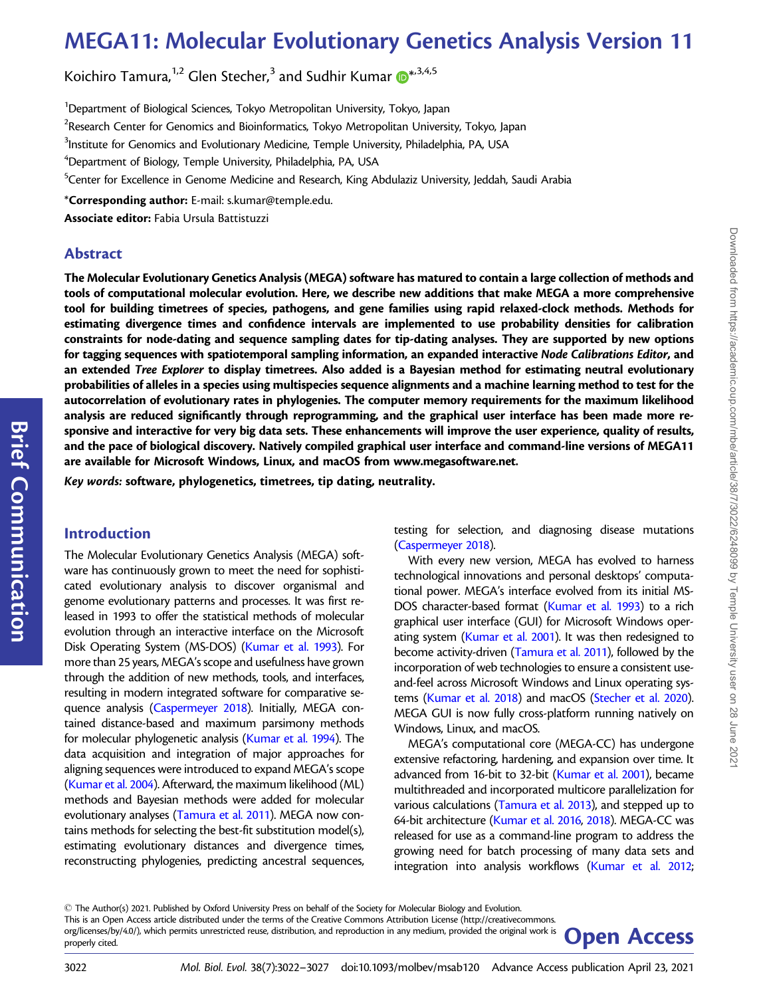# MEGA11: Molecular Evolutionary Genetics Analysis Version 11

Koichiro Tamura, $^{1,2}$  Glen Stecher, $^3$  and Sudhir Kumar  $\pmb{\mathbb{\Theta}}^{*,3,4,5}$  $\pmb{\mathbb{\Theta}}^{*,3,4,5}$  $\pmb{\mathbb{\Theta}}^{*,3,4,5}$ 

<sup>1</sup>Department of Biological Sciences, Tokyo Metropolitan University, Tokyo, Japan  $^2$ Research Center for Genomics and Bioinformatics, Tokyo Metropolitan University, Tokyo, Japan  $^3$ Institute for Genomics and Evolutionary Medicine, Temple University, Philadelphia, PA, USA  $\mathrm{^4}$ Department of Biology, Temple University, Philadelphia, PA, USA <sup>5</sup>Center for Excellence in Genome Medicine and Research, King Abdulaziz University, Jeddah, Saudi Arabia \*Corresponding author: E-mail: s.kumar@temple.edu. Associate editor: Fabia Ursula Battistuzzi

## Abstract

The Molecular Evolutionary Genetics Analysis (MEGA) software has matured to contain a large collection of methods and tools of computational molecular evolution. Here, we describe new additions that make MEGA a more comprehensive tool for building timetrees of species, pathogens, and gene families using rapid relaxed-clock methods. Methods for estimating divergence times and confidence intervals are implemented to use probability densities for calibration constraints for node-dating and sequence sampling dates for tip-dating analyses. They are supported by new options for tagging sequences with spatiotemporal sampling information, an expanded interactive Node Calibrations Editor, and an extended Tree Explorer to display timetrees. Also added is a Bayesian method for estimating neutral evolutionary probabilities of alleles in a species using multispecies sequence alignments and a machine learning method to test for the autocorrelation of evolutionary rates in phylogenies. The computer memory requirements for the maximum likelihood analysis are reduced significantly through reprogramming, and the graphical user interface has been made more responsive and interactive for very big data sets. These enhancements will improve the user experience, quality of results, and the pace of biological discovery. Natively compiled graphical user interface and command-line versions of MEGA11 are available for Microsoft Windows, Linux, and macOS from [www.megasoftware.net.](http://www.megasoftware.net)

Key words: software, phylogenetics, timetrees, tip dating, neutrality.

## Introduction

The Molecular Evolutionary Genetics Analysis (MEGA) software has continuously grown to meet the need for sophisticated evolutionary analysis to discover organismal and genome evolutionary patterns and processes. It was first released in 1993 to offer the statistical methods of molecular evolution through an interactive interface on the Microsoft Disk Operating System (MS-DOS) [\(Kumar et al. 1993](#page-5-0)). For more than 25 years, MEGA's scope and usefulness have grown through the addition of new methods, tools, and interfaces, resulting in modern integrated software for comparative sequence analysis [\(Caspermeyer 2018\)](#page-4-0). Initially, MEGA contained distance-based and maximum parsimony methods for molecular phylogenetic analysis [\(Kumar et al. 1994\)](#page-5-0). The data acquisition and integration of major approaches for aligning sequences were introduced to expand MEGA's scope ([Kumar et al. 2004](#page-5-0)). Afterward, the maximum likelihood (ML) methods and Bayesian methods were added for molecular evolutionary analyses ([Tamura et al. 2011\)](#page-5-0). MEGA now contains methods for selecting the best-fit substitution model(s), estimating evolutionary distances and divergence times, reconstructing phylogenies, predicting ancestral sequences,

testing for selection, and diagnosing disease mutations [\(Caspermeyer 2018](#page-4-0)).

Downloaded from https://academic.oup.com/mbe/article/38/7/3022/6248099 by Temple University user on 28 June 202 Downloaded from https://academic.oup.com/mbe/article/38/7/3022/6248099 by Temple University user on 28 June 2021

With every new version, MEGA has evolved to harness technological innovations and personal desktops' computational power. MEGA's interface evolved from its initial MS-DOS character-based format ([Kumar et al. 1993](#page-5-0)) to a rich graphical user interface (GUI) for Microsoft Windows oper-ating system [\(Kumar et al. 2001](#page-5-0)). It was then redesigned to become activity-driven [\(Tamura et al. 2011](#page-5-0)), followed by the incorporation of web technologies to ensure a consistent useand-feel across Microsoft Windows and Linux operating systems [\(Kumar et al. 2018](#page-5-0)) and macOS [\(Stecher et al. 2020\)](#page-5-0). MEGA GUI is now fully cross-platform running natively on Windows, Linux, and macOS.

MEGA's computational core (MEGA-CC) has undergone extensive refactoring, hardening, and expansion over time. It advanced from 16-bit to 32-bit ([Kumar et al. 2001](#page-5-0)), became multithreaded and incorporated multicore parallelization for various calculations [\(Tamura et al. 2013\)](#page-5-0), and stepped up to 64-bit architecture [\(Kumar et al. 2016,](#page-5-0) [2018\)](#page-5-0). MEGA-CC was released for use as a command-line program to address the growing need for batch processing of many data sets and integration into analysis workflows ([Kumar et al. 2012;](#page-5-0)

<sup>-</sup> The Author(s) 2021. Published by Oxford University Press on behalf of the Society for Molecular Biology and Evolution. This is an Open Access article distributed under the terms of the Creative Commons Attribution License (http://creativecommons. org/licenses/by/4.0/), which permits unrestricted reuse, distribution, and reproduction in any medium, provided the original work is **Open Access** 

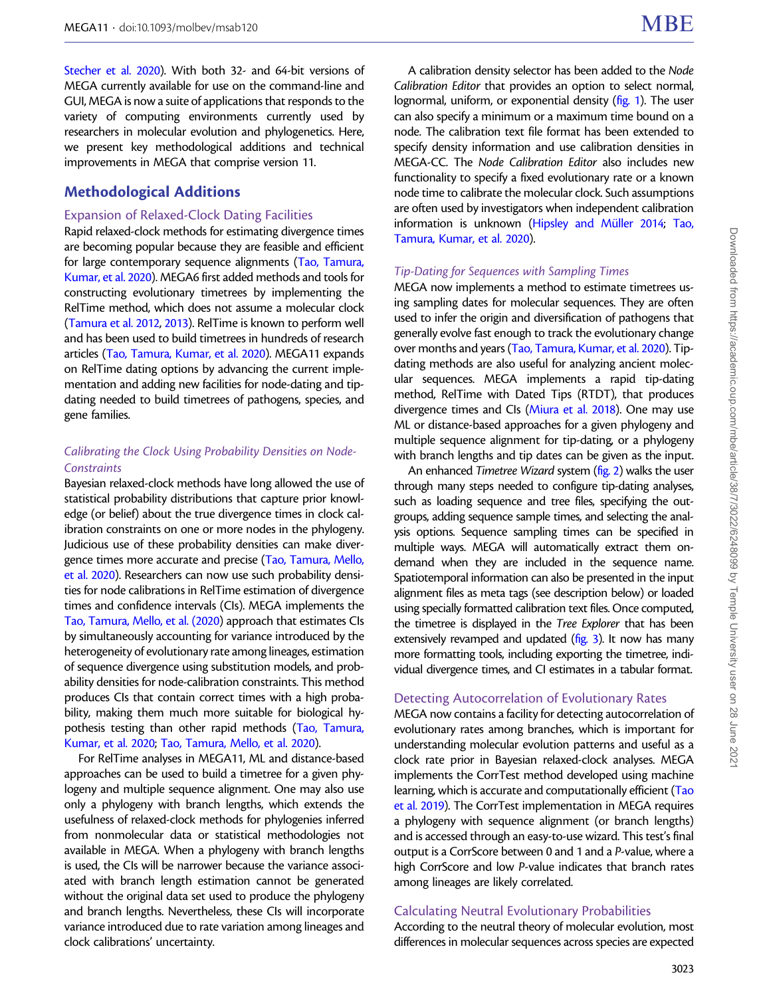[Stecher et al. 2020\)](#page-5-0). With both 32- and 64-bit versions of MEGA currently available for use on the command-line and GUI, MEGA is now a suite of applications that responds to the variety of computing environments currently used by researchers in molecular evolution and phylogenetics. Here, we present key methodological additions and technical improvements in MEGA that comprise version 11.

## Methodological Additions

#### Expansion of Relaxed-Clock Dating Facilities

Rapid relaxed-clock methods for estimating divergence times are becoming popular because they are feasible and efficient for large contemporary sequence alignments ([Tao, Tamura,](#page-5-0) [Kumar, et al. 2020\)](#page-5-0). MEGA6 first added methods and tools for constructing evolutionary timetrees by implementing the RelTime method, which does not assume a molecular clock ([Tamura et al. 2012](#page-5-0), [2013\)](#page-5-0). RelTime is known to perform well and has been used to build timetrees in hundreds of research articles [\(Tao, Tamura, Kumar, et al. 2020](#page-5-0)). MEGA11 expands on RelTime dating options by advancing the current implementation and adding new facilities for node-dating and tipdating needed to build timetrees of pathogens, species, and gene families.

## Calibrating the Clock Using Probability Densities on Node-**Constraints**

Bayesian relaxed-clock methods have long allowed the use of statistical probability distributions that capture prior knowledge (or belief) about the true divergence times in clock calibration constraints on one or more nodes in the phylogeny. Judicious use of these probability densities can make divergence times more accurate and precise [\(Tao, Tamura, Mello,](#page-5-0) [et al. 2020](#page-5-0)). Researchers can now use such probability densities for node calibrations in RelTime estimation of divergence times and confidence intervals (CIs). MEGA implements the [Tao, Tamura, Mello, et al. \(2020](#page-5-0)) approach that estimates CIs by simultaneously accounting for variance introduced by the heterogeneity of evolutionary rate among lineages, estimation of sequence divergence using substitution models, and probability densities for node-calibration constraints. This method produces CIs that contain correct times with a high probability, making them much more suitable for biological hypothesis testing than other rapid methods [\(Tao, Tamura,](#page-5-0) [Kumar, et al. 2020](#page-5-0); [Tao, Tamura, Mello, et al. 2020\)](#page-5-0).

For RelTime analyses in MEGA11, ML and distance-based approaches can be used to build a timetree for a given phylogeny and multiple sequence alignment. One may also use only a phylogeny with branch lengths, which extends the usefulness of relaxed-clock methods for phylogenies inferred from nonmolecular data or statistical methodologies not available in MEGA. When a phylogeny with branch lengths is used, the CIs will be narrower because the variance associated with branch length estimation cannot be generated without the original data set used to produce the phylogeny and branch lengths. Nevertheless, these CIs will incorporate variance introduced due to rate variation among lineages and clock calibrations' uncertainty.

A calibration density selector has been added to the Node Calibration Editor that provides an option to select normal, lognormal, uniform, or exponential density ([fig. 1](#page-2-0)). The user can also specify a minimum or a maximum time bound on a node. The calibration text file format has been extended to specify density information and use calibration densities in MEGA-CC. The Node Calibration Editor also includes new functionality to specify a fixed evolutionary rate or a known node time to calibrate the molecular clock. Such assumptions are often used by investigators when independent calibration information is unknown (Hipsley and Müller 2014; [Tao,](#page-5-0) [Tamura, Kumar, et al. 2020](#page-5-0)).

#### Tip-Dating for Sequences with Sampling Times

MEGA now implements a method to estimate timetrees using sampling dates for molecular sequences. They are often used to infer the origin and diversification of pathogens that generally evolve fast enough to track the evolutionary change over months and years [\(Tao, Tamura, Kumar, et al. 2020\)](#page-5-0). Tipdating methods are also useful for analyzing ancient molecular sequences. MEGA implements a rapid tip-dating method, RelTime with Dated Tips (RTDT), that produces divergence times and CIs [\(Miura et al. 2018\)](#page-5-0). One may use ML or distance-based approaches for a given phylogeny and multiple sequence alignment for tip-dating, or a phylogeny with branch lengths and tip dates can be given as the input.

An enhanced Timetree Wizard system ([fig. 2\)](#page-3-0) walks the user through many steps needed to configure tip-dating analyses, such as loading sequence and tree files, specifying the outgroups, adding sequence sample times, and selecting the analysis options. Sequence sampling times can be specified in multiple ways. MEGA will automatically extract them ondemand when they are included in the sequence name. Spatiotemporal information can also be presented in the input alignment files as meta tags (see description below) or loaded using specially formatted calibration text files. Once computed, the timetree is displayed in the Tree Explorer that has been extensively revamped and updated [\(fig. 3](#page-4-0)). It now has many more formatting tools, including exporting the timetree, individual divergence times, and CI estimates in a tabular format.

### Detecting Autocorrelation of Evolutionary Rates

MEGA now contains a facility for detecting autocorrelation of evolutionary rates among branches, which is important for understanding molecular evolution patterns and useful as a clock rate prior in Bayesian relaxed-clock analyses. MEGA implements the CorrTest method developed using machine learning, which is accurate and computationally efficient ([Tao](#page-5-0) [et al. 2019](#page-5-0)). The CorrTest implementation in MEGA requires a phylogeny with sequence alignment (or branch lengths) and is accessed through an easy-to-use wizard. This test's final output is a CorrScore between 0 and 1 and a P-value, where a high CorrScore and low P-value indicates that branch rates among lineages are likely correlated.

## Calculating Neutral Evolutionary Probabilities

According to the neutral theory of molecular evolution, most differences in molecular sequences across species are expected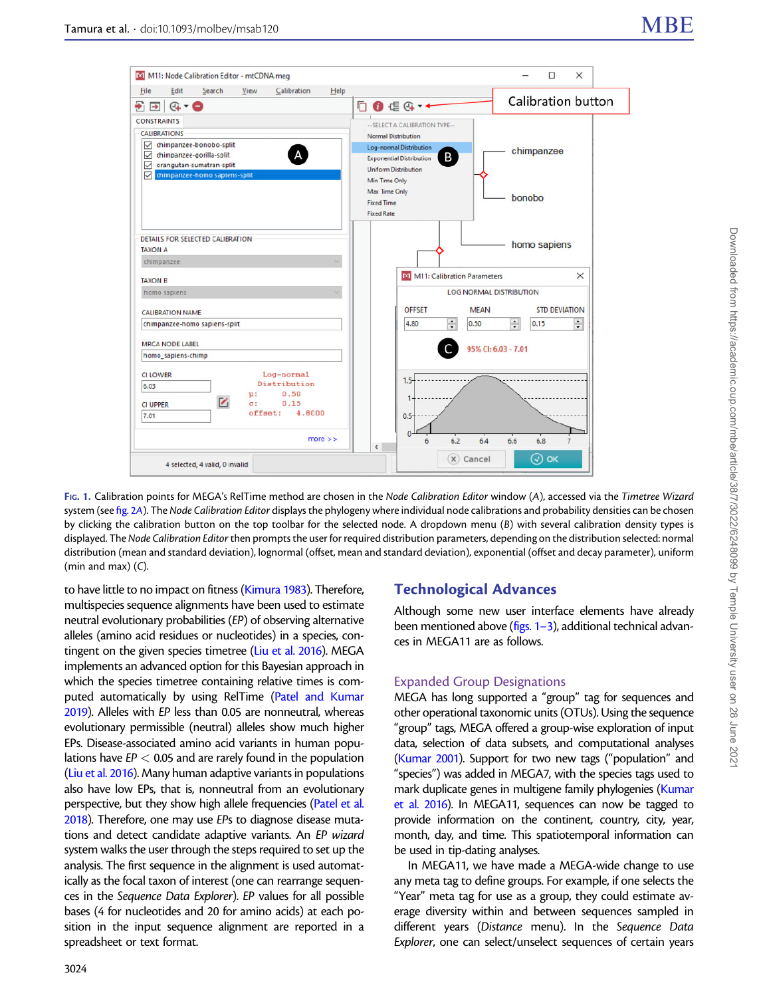<span id="page-2-0"></span>

FIG. 1. Calibration points for MEGA's RelTime method are chosen in the Node Calibration Editor window (A), accessed via the Timetree Wizard system (see [fig. 2](#page-3-0)A). The Node Calibration Editor displays the phylogeny where individual node calibrations and probability densities can be chosen by clicking the calibration button on the top toolbar for the selected node. A dropdown menu (B) with several calibration density types is displayed. The Node Calibration Editor then prompts the user for required distribution parameters, depending on the distribution selected: normal distribution (mean and standard deviation), lognormal (offset, mean and standard deviation), exponential (offset and decay parameter), uniform (min and max) (C).

to have little to no impact on fitness [\(Kimura 1983](#page-4-0)). Therefore, multispecies sequence alignments have been used to estimate neutral evolutionary probabilities (EP) of observing alternative alleles (amino acid residues or nucleotides) in a species, contingent on the given species timetree [\(Liu et al. 2016](#page-5-0)). MEGA implements an advanced option for this Bayesian approach in which the species timetree containing relative times is computed automatically by using RelTime [\(Patel and Kumar](#page-5-0) [2019\)](#page-5-0). Alleles with EP less than 0.05 are nonneutral, whereas evolutionary permissible (neutral) alleles show much higher EPs. Disease-associated amino acid variants in human populations have  $EP < 0.05$  and are rarely found in the population ([Liu et al. 2016](#page-5-0)). Many human adaptive variants in populations also have low EPs, that is, nonneutral from an evolutionary perspective, but they show high allele frequencies [\(Patel et al.](#page-5-0) [2018\)](#page-5-0). Therefore, one may use EPs to diagnose disease mutations and detect candidate adaptive variants. An EP wizard system walks the user through the steps required to set up the analysis. The first sequence in the alignment is used automatically as the focal taxon of interest (one can rearrange sequences in the Sequence Data Explorer). EP values for all possible bases (4 for nucleotides and 20 for amino acids) at each position in the input sequence alignment are reported in a spreadsheet or text format.

# 3024

## Technological Advances

Although some new user interface elements have already been mentioned above (figs. 1-3), additional technical advances in MEGA11 are as follows.

#### Expanded Group Designations

MEGA has long supported a "group" tag for sequences and other operational taxonomic units (OTUs). Using the sequence "group" tags, MEGA offered a group-wise exploration of input data, selection of data subsets, and computational analyses [\(Kumar 2001](#page-5-0)). Support for two new tags ("population" and "species") was added in MEGA7, with the species tags used to mark duplicate genes in multigene family phylogenies [\(Kumar](#page-5-0) [et al. 2016\)](#page-5-0). In MEGA11, sequences can now be tagged to provide information on the continent, country, city, year, month, day, and time. This spatiotemporal information can be used in tip-dating analyses.

In MEGA11, we have made a MEGA-wide change to use any meta tag to define groups. For example, if one selects the "Year" meta tag for use as a group, they could estimate average diversity within and between sequences sampled in different years (Distance menu). In the Sequence Data Explorer, one can select/unselect sequences of certain years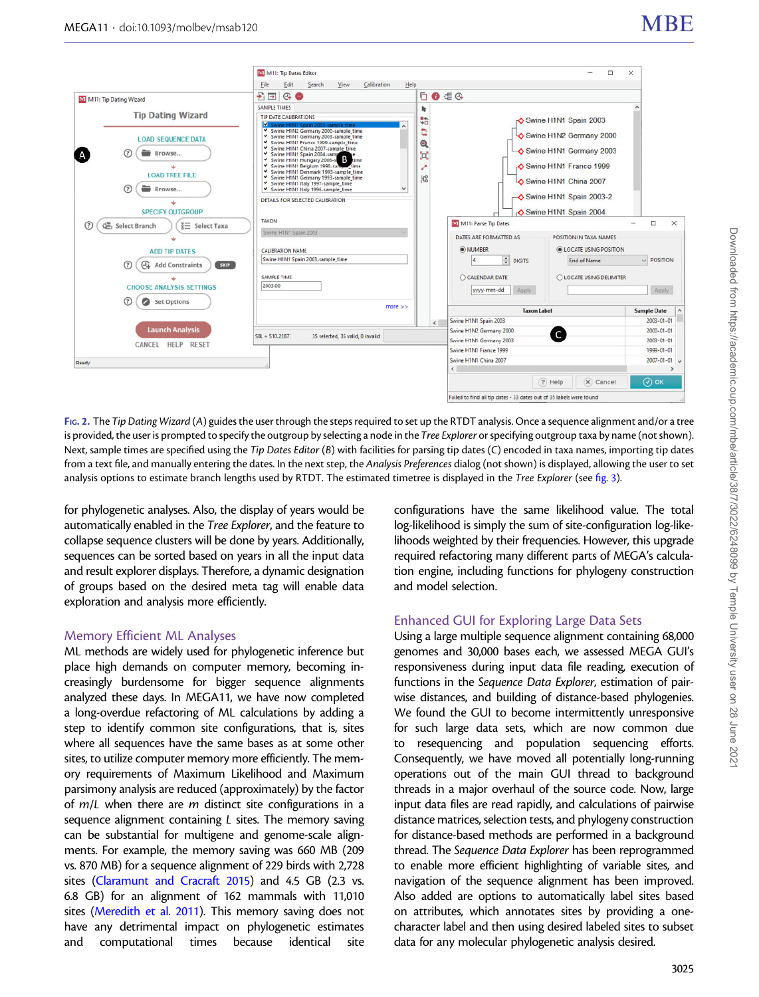<span id="page-3-0"></span>

FIG. 2. The Tip Dating Wizard (A) guides the user through the steps required to set up the RTDT analysis. Once a sequence alignment and/or a tree is provided, the user is prompted to specify the outgroup by selecting a node in the *Tree Explorer* or specifying outgroup taxa by name (not shown). Next, sample times are specified using the Tip Dates Editor (B) with facilities for parsing tip dates (C) encoded in taxa names, importing tip dates from a text file, and manually entering the dates. In the next step, the Analysis Preferences dialog (not shown) is displayed, allowing the user to set analysis options to estimate branch lengths used by RTDT. The estimated timetree is displayed in the Tree Explorer (see [fig. 3\)](#page-4-0).

for phylogenetic analyses. Also, the display of years would be automatically enabled in the Tree Explorer, and the feature to collapse sequence clusters will be done by years. Additionally, sequences can be sorted based on years in all the input data and result explorer displays. Therefore, a dynamic designation of groups based on the desired meta tag will enable data exploration and analysis more efficiently.

## Memory Efficient ML Analyses

ML methods are widely used for phylogenetic inference but place high demands on computer memory, becoming increasingly burdensome for bigger sequence alignments analyzed these days. In MEGA11, we have now completed a long-overdue refactoring of ML calculations by adding a step to identify common site configurations, that is, sites where all sequences have the same bases as at some other sites, to utilize computer memory more efficiently. The memory requirements of Maximum Likelihood and Maximum parsimony analysis are reduced (approximately) by the factor of  $m/L$  when there are  $m$  distinct site configurations in a sequence alignment containing L sites. The memory saving can be substantial for multigene and genome-scale alignments. For example, the memory saving was 660 MB (209 vs. 870 MB) for a sequence alignment of 229 birds with 2,728 sites [\(Claramunt and Cracraft 2015](#page-4-0)) and 4.5 GB (2.3 vs. 6.8 GB) for an alignment of 162 mammals with 11,010 sites [\(Meredith et al. 2011](#page-5-0)). This memory saving does not have any detrimental impact on phylogenetic estimates and computational times because identical site configurations have the same likelihood value. The total log-likelihood is simply the sum of site-configuration log-likelihoods weighted by their frequencies. However, this upgrade required refactoring many different parts of MEGA's calculation engine, including functions for phylogeny construction and model selection.

## Enhanced GUI for Exploring Large Data Sets

Using a large multiple sequence alignment containing 68,000 genomes and 30,000 bases each, we assessed MEGA GUI's responsiveness during input data file reading, execution of functions in the Sequence Data Explorer, estimation of pairwise distances, and building of distance-based phylogenies. We found the GUI to become intermittently unresponsive for such large data sets, which are now common due to resequencing and population sequencing efforts. Consequently, we have moved all potentially long-running operations out of the main GUI thread to background threads in a major overhaul of the source code. Now, large input data files are read rapidly, and calculations of pairwise distance matrices, selection tests, and phylogeny construction for distance-based methods are performed in a background thread. The Sequence Data Explorer has been reprogrammed to enable more efficient highlighting of variable sites, and navigation of the sequence alignment has been improved. Also added are options to automatically label sites based on attributes, which annotates sites by providing a onecharacter label and then using desired labeled sites to subset data for any molecular phylogenetic analysis desired.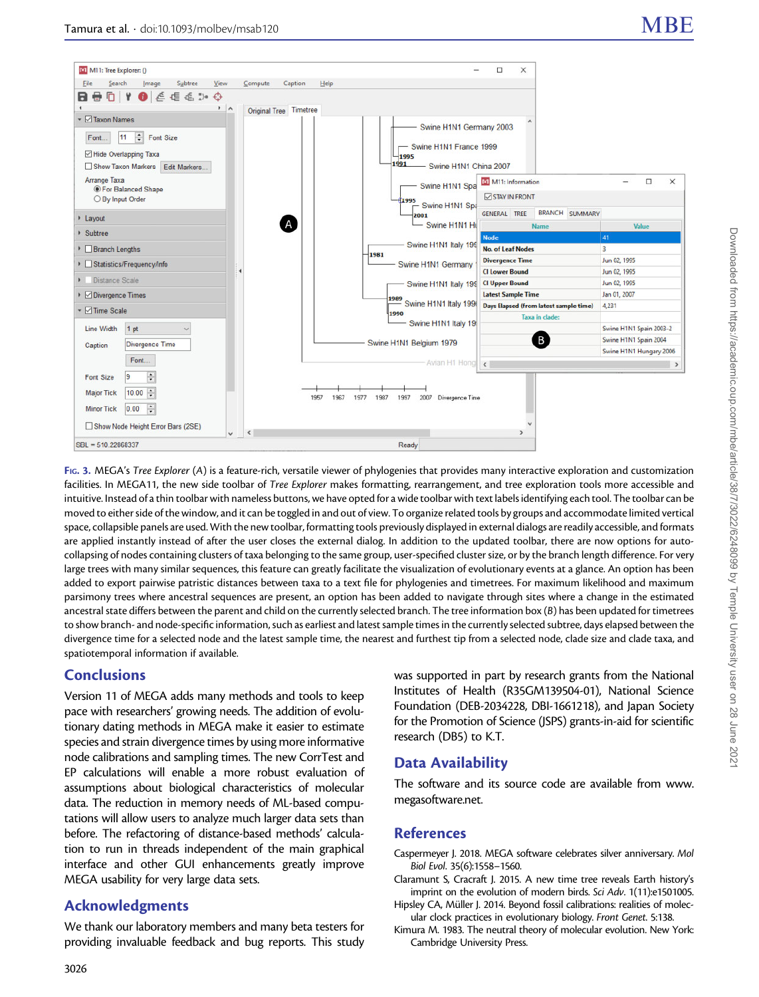<span id="page-4-0"></span>

FIG. 3. MEGA's Tree Explorer (A) is a feature-rich, versatile viewer of phylogenies that provides many interactive exploration and customization facilities. In MEGA11, the new side toolbar of Tree Explorer makes formatting, rearrangement, and tree exploration tools more accessible and intuitive. Instead of a thin toolbar with nameless buttons, we have opted for a wide toolbar with text labels identifying each tool. The toolbar can be moved to either side of the window, and it can be toggled in and out of view. To organize related tools by groups and accommodate limited vertical space, collapsible panels are used. With the new toolbar, formatting tools previously displayed in external dialogs are readily accessible, and formats are applied instantly instead of after the user closes the external dialog. In addition to the updated toolbar, there are now options for autocollapsing of nodes containing clusters of taxa belonging to the same group, user-specified cluster size, or by the branch length difference. For very large trees with many similar sequences, this feature can greatly facilitate the visualization of evolutionary events at a glance. An option has been added to export pairwise patristic distances between taxa to a text file for phylogenies and timetrees. For maximum likelihood and maximum parsimony trees where ancestral sequences are present, an option has been added to navigate through sites where a change in the estimated ancestral state differs between the parent and child on the currently selected branch. The tree information box (B) has been updated for timetrees to show branch- and node-specific information, such as earliest and latest sample times in the currently selected subtree, days elapsed between the divergence time for a selected node and the latest sample time, the nearest and furthest tip from a selected node, clade size and clade taxa, and spatiotemporal information if available.

# **Conclusions**

Version 11 of MEGA adds many methods and tools to keep pace with researchers' growing needs. The addition of evolutionary dating methods in MEGA make it easier to estimate species and strain divergence times by using more informative node calibrations and sampling times. The new CorrTest and EP calculations will enable a more robust evaluation of assumptions about biological characteristics of molecular data. The reduction in memory needs of ML-based computations will allow users to analyze much larger data sets than before. The refactoring of distance-based methods' calculation to run in threads independent of the main graphical interface and other GUI enhancements greatly improve MEGA usability for very large data sets.

# Acknowledgments

We thank our laboratory members and many beta testers for providing invaluable feedback and bug reports. This study was supported in part by research grants from the National Institutes of Health (R35GM139504-01), National Science Foundation (DEB-2034228, DBI-1661218), and Japan Society for the Promotion of Science (JSPS) grants-in-aid for scientific research (DB5) to K.T.

# Data Availability

The software and its source code are available from [www.](http://www.megasoftware.net) [megasoftware.net](http://www.megasoftware.net).

# References

- Caspermeyer J. 2018. MEGA software celebrates silver anniversary. Mol Biol Evol. 35(6):1558–1560.
- Claramunt S, Cracraft J. 2015. A new time tree reveals Earth history's imprint on the evolution of modern birds. Sci Adv. 1(11):e1501005.
- Hipsley CA, Müller J. 2014. Beyond fossil calibrations: realities of molecular clock practices in evolutionary biology. Front Genet. 5:138.
- Kimura M. 1983. The neutral theory of molecular evolution. New York: Cambridge University Press.